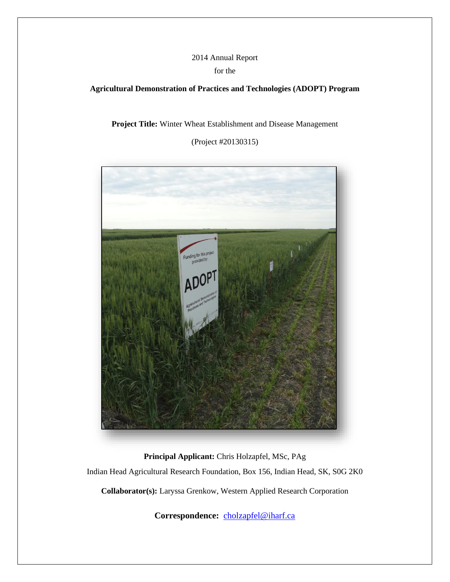# 2014 Annual Report for the

## **Agricultural Demonstration of Practices and Technologies (ADOPT) Program**

**Project Title:** Winter Wheat Establishment and Disease Management

(Project #20130315)



**Principal Applicant:** Chris Holzapfel, MSc, PAg Indian Head Agricultural Research Foundation, Box 156, Indian Head, SK, S0G 2K0 **Collaborator(s):** Laryssa Grenkow, Western Applied Research Corporation

Correspondence: [cholzapfel@iharf.ca](mailto:cholzapfel@iharf.ca)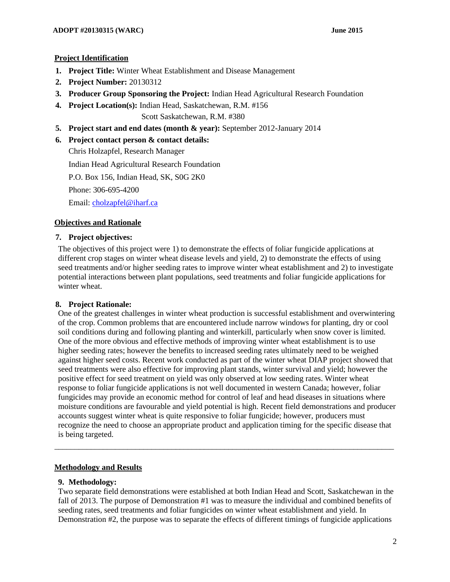## **Project Identification**

- **1. Project Title:** Winter Wheat Establishment and Disease Management
- **2. Project Number:** 20130312
- **3. Producer Group Sponsoring the Project:** Indian Head Agricultural Research Foundation
- **4. Project Location(s):** Indian Head, Saskatchewan, R.M. #156

Scott Saskatchewan, R.M. #380

- **5. Project start and end dates (month & year):** September 2012-January 2014
- **6. Project contact person & contact details:**

Chris Holzapfel, Research Manager

Indian Head Agricultural Research Foundation

P.O. Box 156, Indian Head, SK, S0G 2K0

Phone: 306-695-4200

Email: [cholzapfel@iharf.ca](mailto:cholzapfel@iharf.ca)

## **Objectives and Rationale**

#### **7. Project objectives:**

The objectives of this project were 1) to demonstrate the effects of foliar fungicide applications at different crop stages on winter wheat disease levels and yield, 2) to demonstrate the effects of using seed treatments and/or higher seeding rates to improve winter wheat establishment and 2) to investigate potential interactions between plant populations, seed treatments and foliar fungicide applications for winter wheat.

#### **8. Project Rationale:**

One of the greatest challenges in winter wheat production is successful establishment and overwintering of the crop. Common problems that are encountered include narrow windows for planting, dry or cool soil conditions during and following planting and winterkill, particularly when snow cover is limited. One of the more obvious and effective methods of improving winter wheat establishment is to use higher seeding rates; however the benefits to increased seeding rates ultimately need to be weighed against higher seed costs. Recent work conducted as part of the winter wheat DIAP project showed that seed treatments were also effective for improving plant stands, winter survival and yield; however the positive effect for seed treatment on yield was only observed at low seeding rates. Winter wheat response to foliar fungicide applications is not well documented in western Canada; however, foliar fungicides may provide an economic method for control of leaf and head diseases in situations where moisture conditions are favourable and yield potential is high. Recent field demonstrations and producer accounts suggest winter wheat is quite responsive to foliar fungicide; however, producers must recognize the need to choose an appropriate product and application timing for the specific disease that is being targeted.

## **Methodology and Results**

#### **9. Methodology:**

Two separate field demonstrations were established at both Indian Head and Scott, Saskatchewan in the fall of 2013. The purpose of Demonstration #1 was to measure the individual and combined benefits of seeding rates, seed treatments and foliar fungicides on winter wheat establishment and yield. In Demonstration #2, the purpose was to separate the effects of different timings of fungicide applications

\_\_\_\_\_\_\_\_\_\_\_\_\_\_\_\_\_\_\_\_\_\_\_\_\_\_\_\_\_\_\_\_\_\_\_\_\_\_\_\_\_\_\_\_\_\_\_\_\_\_\_\_\_\_\_\_\_\_\_\_\_\_\_\_\_\_\_\_\_\_\_\_\_\_\_\_\_\_\_\_\_\_\_\_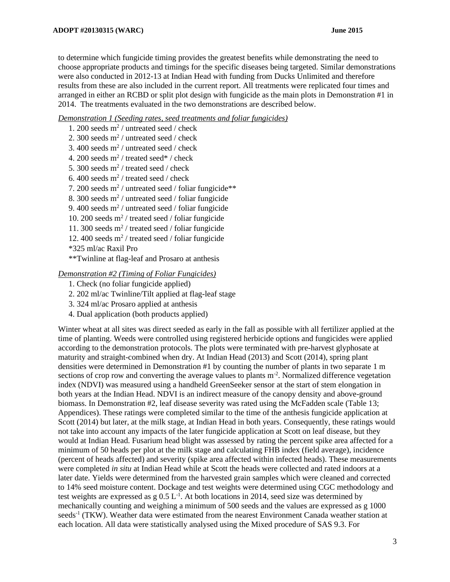to determine which fungicide timing provides the greatest benefits while demonstrating the need to choose appropriate products and timings for the specific diseases being targeted. Similar demonstrations were also conducted in 2012-13 at Indian Head with funding from Ducks Unlimited and therefore results from these are also included in the current report. All treatments were replicated four times and arranged in either an RCBD or split plot design with fungicide as the main plots in Demonstration #1 in 2014. The treatments evaluated in the two demonstrations are described below.

## *Demonstration 1 (Seeding rates, seed treatments and foliar fungicides)*

- 1. 200 seeds m<sup>2</sup> / untreated seed / check
- 2. 300 seeds m<sup>2</sup> / untreated seed / check
- 3. 400 seeds  $m^2/$  untreated seed / check
- 4. 200 seeds  $m^2$  / treated seed\* / check
- 5. 300 seeds  $m^2$  / treated seed / check
- 6. 400 seeds  $m^2$  / treated seed / check
- 7. 200 seeds  $m^2$  / untreated seed / foliar fungicide\*\*
- 8. 300 seeds  $m^2$  / untreated seed / foliar fungicide
- 9. 400 seeds  $m^2$  / untreated seed / foliar fungicide
- 10. 200 seeds m<sup>2</sup> / treated seed / foliar fungicide
- 11. 300 seeds  $m^2$  / treated seed / foliar fungicide
- 12. 400 seeds  $m^2$  / treated seed / foliar fungicide
- \*325 ml/ac Raxil Pro
- \*\*Twinline at flag-leaf and Prosaro at anthesis

## *Demonstration #2 (Timing of Foliar Fungicides)*

- 1. Check (no foliar fungicide applied)
- 2. 202 ml/ac Twinline/Tilt applied at flag-leaf stage
- 3. 324 ml/ac Prosaro applied at anthesis
- 4. Dual application (both products applied)

Winter wheat at all sites was direct seeded as early in the fall as possible with all fertilizer applied at the time of planting. Weeds were controlled using registered herbicide options and fungicides were applied according to the demonstration protocols. The plots were terminated with pre-harvest glyphosate at maturity and straight-combined when dry. At Indian Head (2013) and Scott (2014), spring plant densities were determined in Demonstration #1 by counting the number of plants in two separate 1 m sections of crop row and converting the average values to plants  $m<sup>2</sup>$ . Normalized difference vegetation index (NDVI) was measured using a handheld GreenSeeker sensor at the start of stem elongation in both years at the Indian Head. NDVI is an indirect measure of the canopy density and above-ground biomass. In Demonstration #2, leaf disease severity was rated using the McFadden scale (Table 13; Appendices). These ratings were completed similar to the time of the anthesis fungicide application at Scott (2014) but later, at the milk stage, at Indian Head in both years. Consequently, these ratings would not take into account any impacts of the later fungicide application at Scott on leaf disease, but they would at Indian Head. Fusarium head blight was assessed by rating the percent spike area affected for a minimum of 50 heads per plot at the milk stage and calculating FHB index (field average), incidence (percent of heads affected) and severity (spike area affected within infected heads). These measurements were completed *in situ* at Indian Head while at Scott the heads were collected and rated indoors at a later date. Yields were determined from the harvested grain samples which were cleaned and corrected to 14% seed moisture content. Dockage and test weights were determined using CGC methodology and test weights are expressed as  $g 0.5 L<sup>-1</sup>$ . At both locations in 2014, seed size was determined by mechanically counting and weighing a minimum of 500 seeds and the values are expressed as g 1000 seeds<sup>-1</sup> (TKW). Weather data were estimated from the nearest Environment Canada weather station at each location. All data were statistically analysed using the Mixed procedure of SAS 9.3. For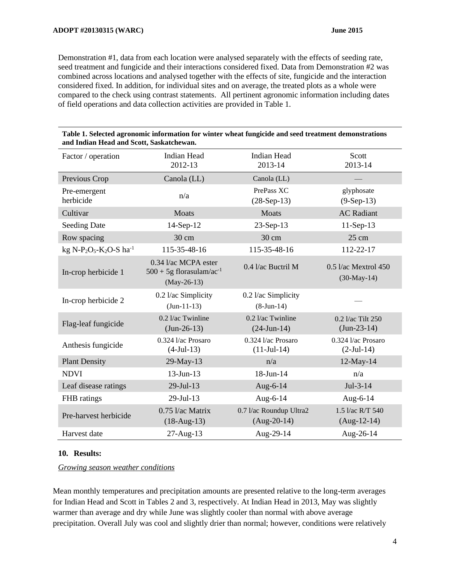Demonstration #1, data from each location were analysed separately with the effects of seeding rate, seed treatment and fungicide and their interactions considered fixed. Data from Demonstration #2 was combined across locations and analysed together with the effects of site, fungicide and the interaction considered fixed. In addition, for individual sites and on average, the treated plots as a whole were compared to the check using contrast statements. All pertinent agronomic information including dates of field operations and data collection activities are provided in Table 1.

| Factor / operation                                                      | <b>Indian Head</b><br><b>Indian Head</b><br>2012-13<br>2013-14                   |                                          | Scott<br>2013-14                      |
|-------------------------------------------------------------------------|----------------------------------------------------------------------------------|------------------------------------------|---------------------------------------|
| Previous Crop                                                           | Canola (LL)                                                                      | Canola (LL)                              |                                       |
| Pre-emergent<br>herbicide                                               | n/a                                                                              | PrePass XC<br>$(28-Sep-13)$              | glyphosate<br>$(9-Sep-13)$            |
| Cultivar                                                                | <b>Moats</b>                                                                     | Moats                                    | <b>AC</b> Radiant                     |
| <b>Seeding Date</b>                                                     | 14-Sep-12                                                                        | 23-Sep-13                                | 11-Sep-13                             |
| Row spacing                                                             | 30 cm                                                                            | 30 cm                                    | 25 cm                                 |
| kg N-P <sub>2</sub> O <sub>5</sub> -K <sub>2</sub> O-S ha <sup>-1</sup> | 115-35-48-16                                                                     | 115-35-48-16                             | 112-22-17                             |
| In-crop herbicide 1                                                     | 0.34 l/ac MCPA ester<br>$500 + 5$ g florasulam/ac <sup>-1</sup><br>$(May-26-13)$ | 0.4 l/ac Buctril M                       | 0.5 l/ac Mextrol 450<br>$(30-May-14)$ |
| In-crop herbicide 2                                                     | 0.2 l/ac Simplicity<br>$(Jun-11-13)$                                             | 0.2 l/ac Simplicity<br>$(8-Jun-14)$      |                                       |
| Flag-leaf fungicide                                                     | 0.2 l/ac Twinline<br>$(Jun-26-13)$                                               | 0.2 l/ac Twinline<br>$(24-Jun-14)$       | 0.2 l/ac Tilt 250<br>$(Jun-23-14)$    |
| Anthesis fungicide                                                      | 0.324 l/ac Prosaro<br>$(4-Jul-13)$                                               | 0.324 l/ac Prosaro<br>$(11-Jul-14)$      | 0.324 l/ac Prosaro<br>$(2-Jul-14)$    |
| <b>Plant Density</b>                                                    | 29-May-13                                                                        | n/a                                      | 12-May-14                             |
| <b>NDVI</b>                                                             | 13-Jun-13                                                                        | 18-Jun-14                                | n/a                                   |
| Leaf disease ratings                                                    | 29-Jul-13                                                                        | Aug-6-14                                 | $Jul-3-14$                            |
| FHB ratings                                                             | 29-Jul-13                                                                        | Aug-6-14                                 | Aug-6-14                              |
| Pre-harvest herbicide                                                   | $0.75$ $1/a$ c Matrix<br>$(18-Aug-13)$                                           | 0.7 l/ac Roundup Ultra2<br>$(Aug-20-14)$ | 1.5 l/ac R/T 540<br>$(Aug-12-14)$     |
| Harvest date                                                            | $27$ -Aug-13                                                                     | Aug-29-14                                | Aug-26-14                             |

**Table 1. Selected agronomic information for winter wheat fungicide and seed treatment demonstrations and Indian Head and Scott, Saskatchewan.**

## **10. Results:**

*Growing season weather conditions*

Mean monthly temperatures and precipitation amounts are presented relative to the long-term averages for Indian Head and Scott in Tables 2 and 3, respectively. At Indian Head in 2013, May was slightly warmer than average and dry while June was slightly cooler than normal with above average precipitation. Overall July was cool and slightly drier than normal; however, conditions were relatively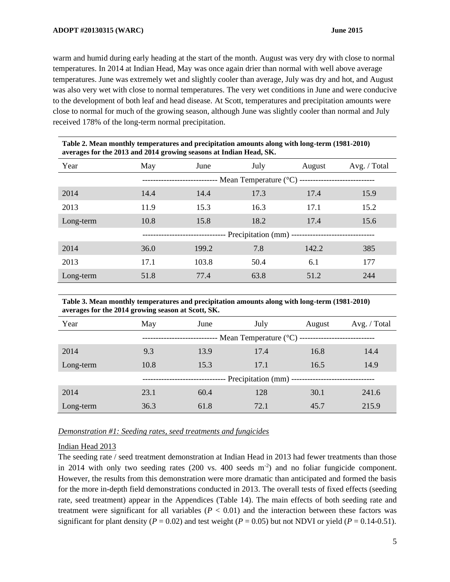warm and humid during early heading at the start of the month. August was very dry with close to normal temperatures. In 2014 at Indian Head, May was once again drier than normal with well above average temperatures. June was extremely wet and slightly cooler than average, July was dry and hot, and August was also very wet with close to normal temperatures. The very wet conditions in June and were conducive to the development of both leaf and head disease. At Scott, temperatures and precipitation amounts were close to normal for much of the growing season, although June was slightly cooler than normal and July received 178% of the long-term normal precipitation.

| Table 2. Mean monthly temperatures and precipitation amounts along with long-term (1981-2010)<br>averages for the 2013 and 2014 growing seasons at Indian Head, SK. |      |       |                                                     |        |              |
|---------------------------------------------------------------------------------------------------------------------------------------------------------------------|------|-------|-----------------------------------------------------|--------|--------------|
| Year                                                                                                                                                                | May  | June  | July                                                | August | Avg. / Total |
|                                                                                                                                                                     |      |       | -- Mean Temperature (°C) -------------------------- |        |              |
| 2014                                                                                                                                                                | 14.4 | 14.4  | 17.3                                                | 17.4   | 15.9         |
| 2013                                                                                                                                                                | 11.9 | 15.3  | 16.3                                                | 17.1   | 15.2         |
| Long-term                                                                                                                                                           | 10.8 | 15.8  | 18.2                                                | 17.4   | 15.6         |
|                                                                                                                                                                     |      |       |                                                     |        |              |
| 2014                                                                                                                                                                | 36.0 | 199.2 | 7.8                                                 | 142.2  | 385          |
| 2013                                                                                                                                                                | 17.1 | 103.8 | 50.4                                                | 6.1    | 177          |
| Long-term                                                                                                                                                           | 51.8 | 77.4  | 63.8                                                | 51.2   | 244          |

**Table 3. Mean monthly temperatures and precipitation amounts along with long-term (1981-2010) averages for the 2014 growing season at Scott, SK.**

| Year      | May                                     | June | July                                              | August | Avg. / Total |
|-----------|-----------------------------------------|------|---------------------------------------------------|--------|--------------|
|           |                                         |      | - Mean Temperature $({}^{\circ}C)$ -------------- |        |              |
| 2014      | 9.3                                     | 13.9 | 17.4                                              | 16.8   | 14.4         |
| Long-term | 10.8                                    | 15.3 | 17.1                                              | 16.5   | 14.9         |
|           | Precipitation (mm) -------------------- |      |                                                   |        |              |
| 2014      | 23.1                                    | 60.4 | 128                                               | 30.1   | 241.6        |
| Long-term | 36.3                                    | 61.8 | 72.1                                              | 45.7   | 215.9        |

#### *Demonstration #1: Seeding rates, seed treatments and fungicides*

#### Indian Head 2013

The seeding rate / seed treatment demonstration at Indian Head in 2013 had fewer treatments than those in 2014 with only two seeding rates (200 vs. 400 seeds m-2 ) and no foliar fungicide component. However, the results from this demonstration were more dramatic than anticipated and formed the basis for the more in-depth field demonstrations conducted in 2013. The overall tests of fixed effects (seeding rate, seed treatment) appear in the Appendices (Table 14). The main effects of both seeding rate and treatment were significant for all variables  $(P < 0.01)$  and the interaction between these factors was significant for plant density ( $P = 0.02$ ) and test weight ( $P = 0.05$ ) but not NDVI or yield ( $P = 0.14$ -0.51).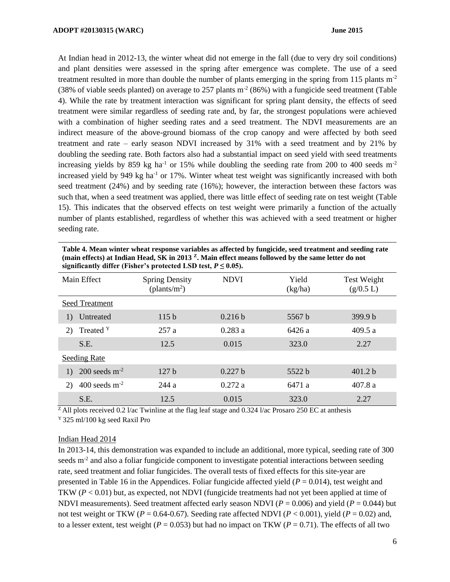At Indian head in 2012-13, the winter wheat did not emerge in the fall (due to very dry soil conditions) and plant densities were assessed in the spring after emergence was complete. The use of a seed treatment resulted in more than double the number of plants emerging in the spring from 115 plants  $m<sup>2</sup>$ (38% of viable seeds planted) on average to 257 plants  $m<sup>2</sup>$  (86%) with a fungicide seed treatment (Table 4). While the rate by treatment interaction was significant for spring plant density, the effects of seed treatment were similar regardless of seeding rate and, by far, the strongest populations were achieved with a combination of higher seeding rates and a seed treatment. The NDVI measurements are an indirect measure of the above-ground biomass of the crop canopy and were affected by both seed treatment and rate – early season NDVI increased by 31% with a seed treatment and by 21% by doubling the seeding rate. Both factors also had a substantial impact on seed yield with seed treatments increasing yields by 859 kg ha<sup>-1</sup> or 15% while doubling the seeding rate from 200 to 400 seeds  $m<sup>-2</sup>$ increased yield by 949 kg ha<sup>-1</sup> or 17%. Winter wheat test weight was significantly increased with both seed treatment (24%) and by seeding rate (16%); however, the interaction between these factors was such that, when a seed treatment was applied, there was little effect of seeding rate on test weight (Table 15). This indicates that the observed effects on test weight were primarily a function of the actually number of plants established, regardless of whether this was achieved with a seed treatment or higher seeding rate.

**Table 4. Mean winter wheat response variables as affected by fungicide, seed treatment and seeding rate (main effects) at Indian Head, SK in 2013 <sup>Z</sup> . Main effect means followed by the same letter do not**  significantly differ (Fisher's protected LSD test,  $P \le 0.05$ ).

|    | Main Effect                 | <b>Spring Density</b><br>(plants/ $m^2$ ) | <b>NDVI</b>        | Yield<br>(kg/ha) | Test Weight<br>(g/0.5 L) |
|----|-----------------------------|-------------------------------------------|--------------------|------------------|--------------------------|
|    | <b>Seed Treatment</b>       |                                           |                    |                  |                          |
| 1) | Untreated                   | 115h                                      | 0.216 <sub>b</sub> | 5567 b           | 399.9 <sub>b</sub>       |
| 2) | Treated <sup>Y</sup>        | 257a                                      | 0.283a             | 6426 a           | 409.5a                   |
|    | S.E.                        | 12.5                                      | 0.015              | 323.0            | 2.27                     |
|    | Seeding Rate                |                                           |                    |                  |                          |
| 1) | $200$ seeds m <sup>-2</sup> | 127h                                      | 0.227 <sub>b</sub> | 5522 h           | 401.2 <sub>b</sub>       |
| 2) | $400$ seeds $m^{-2}$        | 244 a                                     | 0.272a             | 6471 a           | 407.8a                   |
|    | S.E.                        | 12.5                                      | 0.015              | 323.0            | 2.27                     |

 $Z$ All plots received 0.2 l/ac Twinline at the flag leaf stage and 0.324 l/ac Prosaro 250 EC at anthesis

<sup>Y</sup>325 ml/100 kg seed Raxil Pro

#### Indian Head 2014

In 2013-14, this demonstration was expanded to include an additional, more typical, seeding rate of 300 seeds m<sup>-2</sup> and also a foliar fungicide component to investigate potential interactions between seeding rate, seed treatment and foliar fungicides. The overall tests of fixed effects for this site-year are presented in Table 16 in the Appendices. Foliar fungicide affected yield  $(P = 0.014)$ , test weight and TKW (*P* < 0.01) but, as expected, not NDVI (fungicide treatments had not yet been applied at time of NDVI measurements). Seed treatment affected early season NDVI (*P* = 0.006) and yield (*P* = 0.044) but not test weight or TKW ( $P = 0.64$ -0.67). Seeding rate affected NDVI ( $P < 0.001$ ), yield ( $P = 0.02$ ) and, to a lesser extent, test weight ( $P = 0.053$ ) but had no impact on TKW ( $P = 0.71$ ). The effects of all two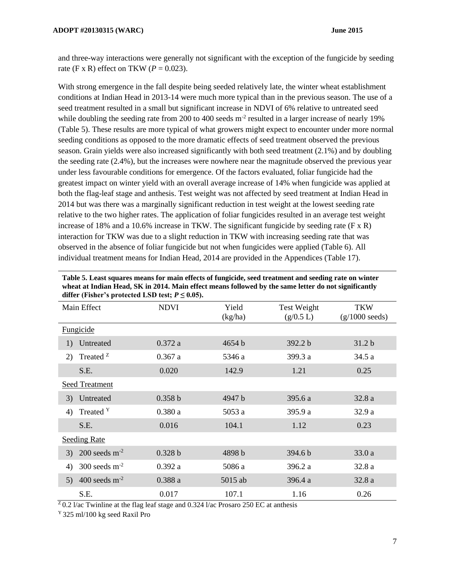and three-way interactions were generally not significant with the exception of the fungicide by seeding rate (F x R) effect on TKW ( $P = 0.023$ ).

With strong emergence in the fall despite being seeded relatively late, the winter wheat establishment conditions at Indian Head in 2013-14 were much more typical than in the previous season. The use of a seed treatment resulted in a small but significant increase in NDVI of 6% relative to untreated seed while doubling the seeding rate from 200 to 400 seeds m<sup>-2</sup> resulted in a larger increase of nearly 19% (Table 5). These results are more typical of what growers might expect to encounter under more normal seeding conditions as opposed to the more dramatic effects of seed treatment observed the previous season. Grain yields were also increased significantly with both seed treatment (2.1%) and by doubling the seeding rate (2.4%), but the increases were nowhere near the magnitude observed the previous year under less favourable conditions for emergence. Of the factors evaluated, foliar fungicide had the greatest impact on winter yield with an overall average increase of 14% when fungicide was applied at both the flag-leaf stage and anthesis. Test weight was not affected by seed treatment at Indian Head in 2014 but was there was a marginally significant reduction in test weight at the lowest seeding rate relative to the two higher rates. The application of foliar fungicides resulted in an average test weight increase of 18% and a 10.6% increase in TKW. The significant fungicide by seeding rate  $(F \times R)$ interaction for TKW was due to a slight reduction in TKW with increasing seeding rate that was observed in the absence of foliar fungicide but not when fungicides were applied (Table 6). All individual treatment means for Indian Head, 2014 are provided in the Appendices (Table 17).

|    | $\frac{1}{2}$ and $\frac{1}{2}$ is protected ESD test, $\frac{1}{2}$ = 0.00 p |             |                  |                                 |                                        |  |
|----|-------------------------------------------------------------------------------|-------------|------------------|---------------------------------|----------------------------------------|--|
|    | Main Effect                                                                   | <b>NDVI</b> | Yield<br>(kg/ha) | <b>Test Weight</b><br>(g/0.5 L) | <b>TKW</b><br>$(g/1000 \text{ seeds})$ |  |
|    | Fungicide                                                                     |             |                  |                                 |                                        |  |
| 1) | Untreated                                                                     | 0.372a      | 4654 b           | 392.2 b                         | 31.2 <sub>b</sub>                      |  |
| 2) | Treated <sup>Z</sup>                                                          | 0.367a      | 5346 a           | 399.3 a                         | 34.5 a                                 |  |
|    | S.E.                                                                          | 0.020       | 142.9            | 1.21                            | 0.25                                   |  |
|    | <b>Seed Treatment</b>                                                         |             |                  |                                 |                                        |  |
| 3) | Untreated                                                                     | 0.358 b     | 4947 b           | 395.6 a                         | 32.8a                                  |  |
| 4) | Treated Y                                                                     | 0.380a      | 5053 a           | 395.9 a                         | 32.9a                                  |  |
|    | S.E.                                                                          | 0.016       | 104.1            | 1.12                            | 0.23                                   |  |
|    | <b>Seeding Rate</b>                                                           |             |                  |                                 |                                        |  |
| 3) | $200$ seeds $m-2$                                                             | 0.328 b     | 4898 b           | 394.6 <sub>b</sub>              | 33.0a                                  |  |
| 4) | $300$ seeds $m^{-2}$                                                          | 0.392 a     | 5086 a           | 396.2 a                         | 32.8a                                  |  |
|    | 5) 400 seeds $m^{-2}$                                                         | 0.388a      | 5015 ab          | 396.4 a                         | 32.8a                                  |  |
|    | S.E.                                                                          | 0.017       | 107.1            | 1.16                            | 0.26                                   |  |

**Table 5. Least squares means for main effects of fungicide, seed treatment and seeding rate on winter wheat at Indian Head, SK in 2014. Main effect means followed by the same letter do not significantly differ (Fisher's protected LSD test;** *P* **≤ 0.05).**

 $^{2}$ 0.2 l/ac Twinline at the flag leaf stage and 0.324 l/ac Prosaro 250 EC at anthesis

 $Y$ 325 ml/100 kg seed Raxil Pro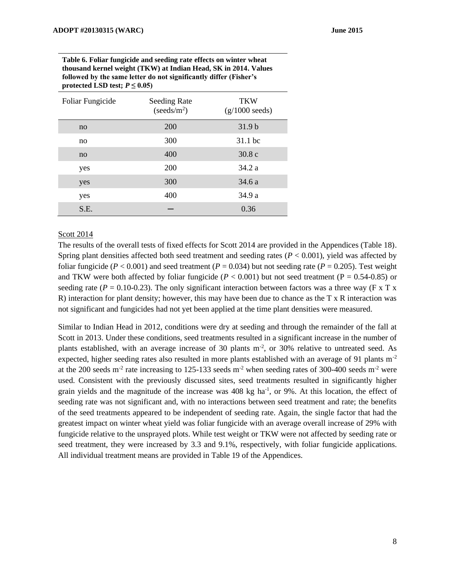**Table 6. Foliar fungicide and seeding rate effects on winter wheat thousand kernel weight (TKW) at Indian Head, SK in 2014. Values followed by the same letter do not significantly differ (Fisher's protected LSD test;**  $P \leq 0.05$ )

| Foliar Fungicide | <b>Seeding Rate</b><br>$(s{\rm eeds/m^2})$ | <b>TKW</b><br>$(g/1000 \text{ seeds})$ |
|------------------|--------------------------------------------|----------------------------------------|
| no               | <b>200</b>                                 | 31.9 <sub>b</sub>                      |
| no               | 300                                        | 31.1 bc                                |
| no               | 400                                        | 30.8c                                  |
| yes              | 200                                        | 34.2a                                  |
| yes              | 300                                        | 34.6a                                  |
| yes              | 400                                        | 34.9a                                  |
| S.E.             |                                            | 0.36                                   |

#### Scott 2014

The results of the overall tests of fixed effects for Scott 2014 are provided in the Appendices (Table 18). Spring plant densities affected both seed treatment and seeding rates  $(P < 0.001)$ , yield was affected by foliar fungicide ( $P < 0.001$ ) and seed treatment ( $P = 0.034$ ) but not seeding rate ( $P = 0.205$ ). Test weight and TKW were both affected by foliar fungicide ( $P < 0.001$ ) but not seed treatment ( $P = 0.54$ -0.85) or seeding rate ( $P = 0.10$ -0.23). The only significant interaction between factors was a three way ( $F \times T \times T$ ) R) interaction for plant density; however, this may have been due to chance as the T x R interaction was not significant and fungicides had not yet been applied at the time plant densities were measured.

Similar to Indian Head in 2012, conditions were dry at seeding and through the remainder of the fall at Scott in 2013. Under these conditions, seed treatments resulted in a significant increase in the number of plants established, with an average increase of 30 plants m<sup>-2</sup>, or 30% relative to untreated seed. As expected, higher seeding rates also resulted in more plants established with an average of 91 plants m<sup>-2</sup> at the 200 seeds m<sup>-2</sup> rate increasing to 125-133 seeds m<sup>-2</sup> when seeding rates of 300-400 seeds m<sup>-2</sup> were used. Consistent with the previously discussed sites, seed treatments resulted in significantly higher grain yields and the magnitude of the increase was 408 kg ha<sup>-1</sup>, or 9%. At this location, the effect of seeding rate was not significant and, with no interactions between seed treatment and rate; the benefits of the seed treatments appeared to be independent of seeding rate. Again, the single factor that had the greatest impact on winter wheat yield was foliar fungicide with an average overall increase of 29% with fungicide relative to the unsprayed plots. While test weight or TKW were not affected by seeding rate or seed treatment, they were increased by 3.3 and 9.1%, respectively, with foliar fungicide applications. All individual treatment means are provided in Table 19 of the Appendices.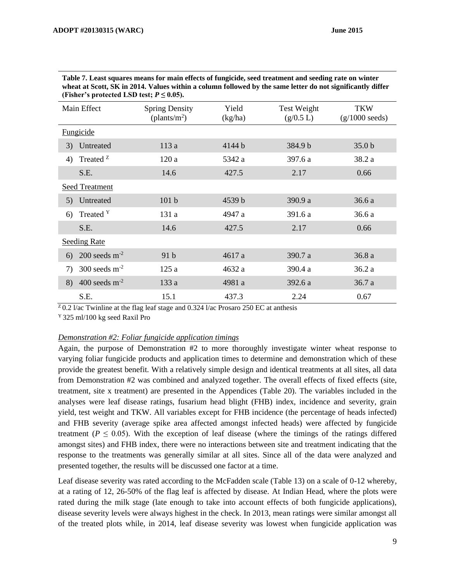|    | $\mu$ isner s protected LSD test, $\iota = 0.05\mu$ |                                           |                  |                                 |                                        |  |
|----|-----------------------------------------------------|-------------------------------------------|------------------|---------------------------------|----------------------------------------|--|
|    | Main Effect                                         | <b>Spring Density</b><br>(plants/ $m^2$ ) | Yield<br>(kg/ha) | <b>Test Weight</b><br>(g/0.5 L) | <b>TKW</b><br>$(g/1000 \text{ seeds})$ |  |
|    | <b>Fungicide</b>                                    |                                           |                  |                                 |                                        |  |
| 3) | Untreated                                           | 113a                                      | 4144 b           | 384.9 b                         | 35.0 <sub>b</sub>                      |  |
| 4) | Treated <sup>Z</sup>                                | 120 a                                     | 5342 a           | 397.6 a                         | 38.2 a                                 |  |
|    | S.E.                                                | 14.6                                      | 427.5            | 2.17                            | 0.66                                   |  |
|    | <b>Seed Treatment</b>                               |                                           |                  |                                 |                                        |  |
| 5) | Untreated                                           | 101 <sub>b</sub>                          | 4539 b           | 390.9 a                         | 36.6 a                                 |  |
| 6) | Treated Y                                           | 131 a                                     | 4947 a           | 391.6 a                         | 36.6 a                                 |  |
|    | S.E.                                                | 14.6                                      | 427.5            | 2.17                            | 0.66                                   |  |
|    | <b>Seeding Rate</b>                                 |                                           |                  |                                 |                                        |  |
| 6) | $200$ seeds m <sup>-2</sup>                         | 91 <sub>b</sub>                           | 4617a            | 390.7 a                         | 36.8 a                                 |  |
| 7) | $300$ seeds m <sup>-2</sup>                         | 125a                                      | 4632 a           | 390.4 a                         | 36.2a                                  |  |
| 8) | $400$ seeds m <sup>-2</sup>                         | 133a                                      | 4981 a           | 392.6 a                         | 36.7 a                                 |  |
|    | S.E.                                                | 15.1                                      | 437.3            | 2.24                            | 0.67                                   |  |

**Table 7. Least squares means for main effects of fungicide, seed treatment and seeding rate on winter wheat at Scott, SK in 2014. Values within a column followed by the same letter do not significantly differ (Fisher's protected LSD test;** *P* **≤ 0.05).**

 $z_{0.2}$   $\alpha$  1/ac Twinline at the flag leaf stage and 0.324 1/ac Prosaro 250 EC at anthesis

 $Y$  325 ml/100 kg seed Raxil Pro

## *Demonstration #2: Foliar fungicide application timings*

Again, the purpose of Demonstration #2 to more thoroughly investigate winter wheat response to varying foliar fungicide products and application times to determine and demonstration which of these provide the greatest benefit. With a relatively simple design and identical treatments at all sites, all data from Demonstration #2 was combined and analyzed together. The overall effects of fixed effects (site, treatment, site x treatment) are presented in the Appendices (Table 20). The variables included in the analyses were leaf disease ratings, fusarium head blight (FHB) index, incidence and severity, grain yield, test weight and TKW. All variables except for FHB incidence (the percentage of heads infected) and FHB severity (average spike area affected amongst infected heads) were affected by fungicide treatment ( $P \leq 0.05$ ). With the exception of leaf disease (where the timings of the ratings differed amongst sites) and FHB index, there were no interactions between site and treatment indicating that the response to the treatments was generally similar at all sites. Since all of the data were analyzed and presented together, the results will be discussed one factor at a time.

Leaf disease severity was rated according to the McFadden scale (Table 13) on a scale of 0-12 whereby, at a rating of 12, 26-50% of the flag leaf is affected by disease. At Indian Head, where the plots were rated during the milk stage (late enough to take into account effects of both fungicide applications), disease severity levels were always highest in the check. In 2013, mean ratings were similar amongst all of the treated plots while, in 2014, leaf disease severity was lowest when fungicide application was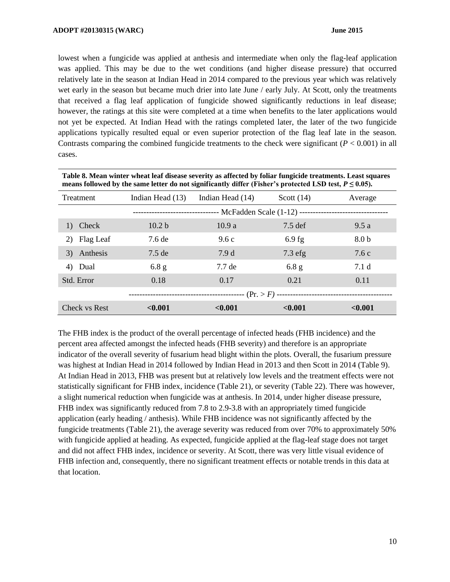lowest when a fungicide was applied at anthesis and intermediate when only the flag-leaf application was applied. This may be due to the wet conditions (and higher disease pressure) that occurred relatively late in the season at Indian Head in 2014 compared to the previous year which was relatively wet early in the season but became much drier into late June / early July. At Scott, only the treatments that received a flag leaf application of fungicide showed significantly reductions in leaf disease; however, the ratings at this site were completed at a time when benefits to the later applications would not yet be expected. At Indian Head with the ratings completed later, the later of the two fungicide applications typically resulted equal or even superior protection of the flag leaf late in the season. Contrasts comparing the combined fungicide treatments to the check were significant  $(P < 0.001)$  in all cases.

| Table 8. Mean winter wheat leaf disease severity as affected by foliar fungicide treatments. Least squares<br>means followed by the same letter do not significantly differ (Fisher's protected LSD test, $P \le 0.05$ ). |                                                           |                  |                   |                  |  |
|---------------------------------------------------------------------------------------------------------------------------------------------------------------------------------------------------------------------------|-----------------------------------------------------------|------------------|-------------------|------------------|--|
| Treatment                                                                                                                                                                                                                 | Indian Head (13)                                          | Indian Head (14) | Scott $(14)$      | Average          |  |
|                                                                                                                                                                                                                           | -- McFadden Scale (1-12) -------------------------------- |                  |                   |                  |  |
| Check<br>1)                                                                                                                                                                                                               | 10.2 <sub>b</sub>                                         | 10.9a            | $7.5$ def         | 9.5a             |  |
| Flag Leaf<br>2)                                                                                                                                                                                                           | 7.6 de                                                    | 9.6c             | $6.9$ fg          | 8.0 <sub>b</sub> |  |
| Anthesis<br>3)                                                                                                                                                                                                            | $7.5$ de                                                  | 7.9 <sub>d</sub> | $7.3 \text{ efg}$ | 7.6c             |  |
| Dual<br>4)                                                                                                                                                                                                                | 6.8 g                                                     | 7.7 de           | 6.8 <sub>g</sub>  | 7.1 d            |  |
| Std. Error                                                                                                                                                                                                                | 0.18                                                      | 0.17             | 0.21              | 0.11             |  |
|                                                                                                                                                                                                                           |                                                           |                  |                   |                  |  |
| Check vs Rest                                                                                                                                                                                                             | < 0.001                                                   | < 0.001          | < 0.001           | < 0.001          |  |

The FHB index is the product of the overall percentage of infected heads (FHB incidence) and the percent area affected amongst the infected heads (FHB severity) and therefore is an appropriate indicator of the overall severity of fusarium head blight within the plots. Overall, the fusarium pressure was highest at Indian Head in 2014 followed by Indian Head in 2013 and then Scott in 2014 (Table 9). At Indian Head in 2013, FHB was present but at relatively low levels and the treatment effects were not statistically significant for FHB index, incidence (Table 21), or severity (Table 22). There was however, a slight numerical reduction when fungicide was at anthesis. In 2014, under higher disease pressure, FHB index was significantly reduced from 7.8 to 2.9-3.8 with an appropriately timed fungicide application (early heading / anthesis). While FHB incidence was not significantly affected by the fungicide treatments (Table 21), the average severity was reduced from over 70% to approximately 50% with fungicide applied at heading. As expected, fungicide applied at the flag-leaf stage does not target and did not affect FHB index, incidence or severity. At Scott, there was very little visual evidence of FHB infection and, consequently, there no significant treatment effects or notable trends in this data at that location.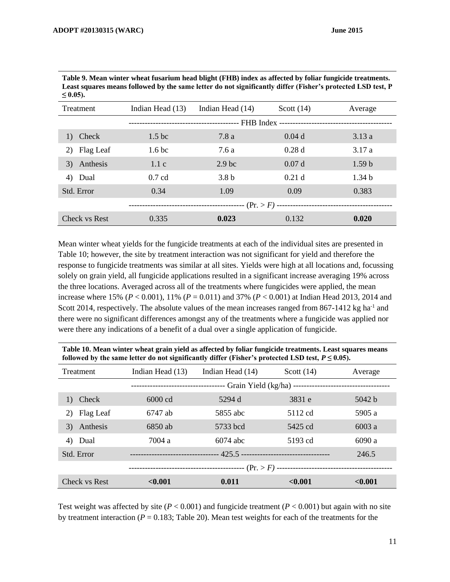| Treatment       | Indian Head (13)  | Indian Head (14)  | Scott $(14)$      | Average           |
|-----------------|-------------------|-------------------|-------------------|-------------------|
|                 |                   |                   |                   |                   |
| Check<br>1)     | 1.5 <sub>bc</sub> | 7.8 a             | $0.04$ d          | 3.13a             |
| Flag Leaf<br>2) | 1.6 <sub>bc</sub> | 7.6a              | 0.28d             | 3.17a             |
| Anthesis<br>3)  | 1.1c              | 2.9 <sub>bc</sub> | 0.07d             | 1.59 <sub>b</sub> |
| 4)<br>Dual      | $0.7$ cd          | 3.8 <sub>b</sub>  | 0.21 <sub>d</sub> | 1.34 <sub>b</sub> |
| Std. Error      | 0.34              | 1.09              | 0.09              | 0.383             |
|                 |                   |                   |                   |                   |
| Check vs Rest   | 0.335             | 0.023             | 0.132             | 0.020             |

**Table 9. Mean winter wheat fusarium head blight (FHB) index as affected by foliar fungicide treatments. Least squares means followed by the same letter do not significantly differ (Fisher's protected LSD test, P ≤ 0.05).**

Mean winter wheat yields for the fungicide treatments at each of the individual sites are presented in Table 10; however, the site by treatment interaction was not significant for yield and therefore the response to fungicide treatments was similar at all sites. Yields were high at all locations and, focussing solely on grain yield, all fungicide applications resulted in a significant increase averaging 19% across the three locations. Averaged across all of the treatments where fungicides were applied, the mean increase where 15% (*P* < 0.001), 11% (*P* = 0.011) and 37% (*P* < 0.001) at Indian Head 2013, 2014 and Scott 2014, respectively. The absolute values of the mean increases ranged from 867-1412 kg ha<sup>-1</sup> and there were no significant differences amongst any of the treatments where a fungicide was applied nor were there any indications of a benefit of a dual over a single application of fungicide.

**Table 10. Mean winter wheat grain yield as affected by foliar fungicide treatments. Least squares means followed by the same letter do not significantly differ (Fisher's protected LSD test,**  $P \le 0.05$ **).** 

| Treatment       | Indian Head (13)  | Indian Head (14)               | Scott $(14)$ | Average |  |  |
|-----------------|-------------------|--------------------------------|--------------|---------|--|--|
|                 |                   | ------------------------------ |              |         |  |  |
| Check<br>1)     | $6000 \text{ cd}$ | 5294 d                         | 3831 e       | 5042 h  |  |  |
| Flag Leaf<br>2) | 6747 ab           | 5855 abc                       | 5112 cd      | 5905 a  |  |  |
| Anthesis<br>3)  | 6850 ab           | 5733 bcd                       | 5425 cd      | 6003a   |  |  |
| 4)<br>Dual      | 7004 a            | $6074$ abc                     | 5193 cd      | 6090 a  |  |  |
| Std. Error      |                   |                                |              | 246.5   |  |  |
|                 |                   |                                |              |         |  |  |
| Check vs Rest   | < 0.001           | 0.011                          | < 0.001      | < 0.001 |  |  |

Test weight was affected by site  $(P < 0.001)$  and fungicide treatment  $(P < 0.001)$  but again with no site by treatment interaction ( $P = 0.183$ ; Table 20). Mean test weights for each of the treatments for the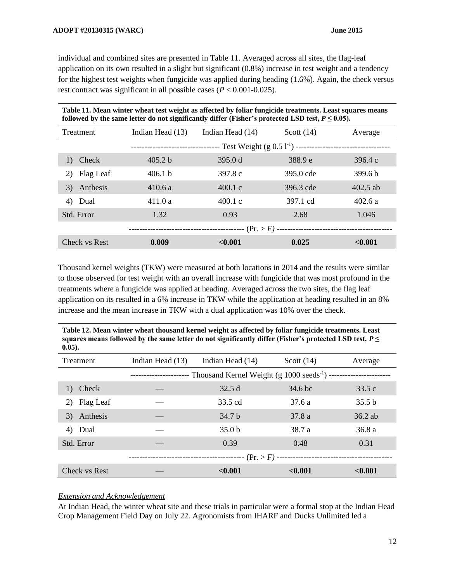individual and combined sites are presented in Table 11. Averaged across all sites, the flag-leaf application on its own resulted in a slight but significant (0.8%) increase in test weight and a tendency for the highest test weights when fungicide was applied during heading (1.6%). Again, the check versus rest contract was significant in all possible cases  $(P < 0.001 - 0.025)$ .

| Table 11. Mean winter wheat test weight as affected by foliar fungicide treatments. Least squares means<br>followed by the same letter do not significantly differ (Fisher's protected LSD test, $P \le 0.05$ ). |                    |                   |              |                    |  |
|------------------------------------------------------------------------------------------------------------------------------------------------------------------------------------------------------------------|--------------------|-------------------|--------------|--------------------|--|
| Treatment                                                                                                                                                                                                        | Indian Head (13)   | Indian Head (14)  | Scott $(14)$ | Average            |  |
|                                                                                                                                                                                                                  |                    |                   |              |                    |  |
| Check<br>1)                                                                                                                                                                                                      | 405.2 <sub>b</sub> | 395.0 d           | 388.9 e      | 396.4c             |  |
| Flag Leaf<br>2)                                                                                                                                                                                                  | 406.1 <sub>b</sub> | 397.8 c           | 395.0 cde    | 399.6 <sub>b</sub> |  |
| Anthesis<br>3)                                                                                                                                                                                                   | 410.6a             | $400.1 \text{ c}$ | 396.3 cde    | $402.5$ ab         |  |
| 4)<br>Dual                                                                                                                                                                                                       | 411.0a             | $400.1 \text{ c}$ | 397.1 cd     | 402.6a             |  |
| Std. Error                                                                                                                                                                                                       | 1.32               | 0.93              | 2.68         | 1.046              |  |
|                                                                                                                                                                                                                  |                    |                   |              |                    |  |
| Check vs Rest                                                                                                                                                                                                    | 0.009              | < 0.001           | 0.025        | < 0.001            |  |

Thousand kernel weights (TKW) were measured at both locations in 2014 and the results were similar to those observed for test weight with an overall increase with fungicide that was most profound in the treatments where a fungicide was applied at heading. Averaged across the two sites, the flag leaf application on its resulted in a 6% increase in TKW while the application at heading resulted in an 8% increase and the mean increase in TKW with a dual application was 10% over the check.

| $0.05$ ). | Table 12. Mean winter wheat thousand kernel weight as affected by foliar fungicide treatments. Least<br>squares means followed by the same letter do not significantly differ (Fisher's protected LSD test, $P \leq$ |                    |              |          |  |  |
|-----------|----------------------------------------------------------------------------------------------------------------------------------------------------------------------------------------------------------------------|--------------------|--------------|----------|--|--|
| Treatment | Indian Head $(13)$                                                                                                                                                                                                   | Indian Head $(14)$ | Scott $(14)$ | A verage |  |  |

| Treatment       | Indian Head (13) | Indian Head (14)  | Scott $(14)$ | Average   |
|-----------------|------------------|-------------------|--------------|-----------|
|                 |                  |                   |              |           |
| Check<br>1)     |                  | 32.5d             | 34.6 bc      | 33.5 c    |
| Flag Leaf<br>2) |                  | 33.5 cd           | 37.6a        | 35.5 b    |
| Anthesis<br>3)  |                  | 34.7 <sub>b</sub> | 37.8 a       | $36.2$ ab |
| 4)<br>Dual      |                  | 35.0 <sub>b</sub> | 38.7 a       | 36.8a     |
| Std. Error      |                  | 0.39              | 0.48         | 0.31      |
|                 |                  |                   |              |           |
| Check vs Rest   |                  | < 0.001           | < 0.001      | < 0.001   |

## *Extension and Acknowledgement*

At Indian Head, the winter wheat site and these trials in particular were a formal stop at the Indian Head Crop Management Field Day on July 22. Agronomists from IHARF and Ducks Unlimited led a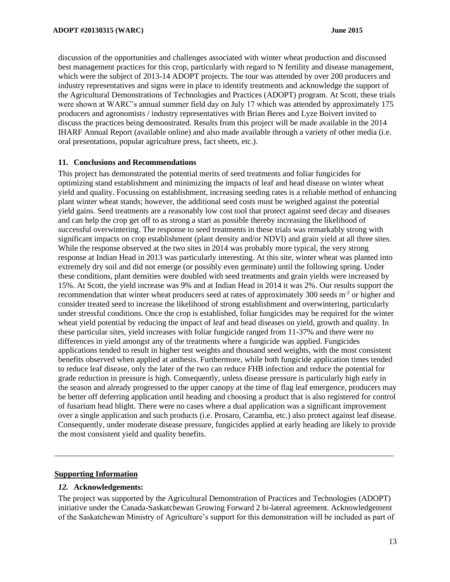discussion of the opportunities and challenges associated with winter wheat production and discussed best management practices for this crop, particularly with regard to N fertility and disease management, which were the subject of 2013-14 ADOPT projects. The tour was attended by over 200 producers and industry representatives and signs were in place to identify treatments and acknowledge the support of the Agricultural Demonstrations of Technologies and Practices (ADOPT) program. At Scott, these trials were shown at WARC's annual summer field day on July 17 which was attended by approximately 175 producers and agronomists / industry representatives with Brian Beres and Lyze Boivert invited to discuss the practices being demonstrated. Results from this project will be made available in the 2014 IHARF Annual Report (available online) and also made available through a variety of other media (i.e. oral presentations, popular agriculture press, fact sheets, etc.).

## **11. Conclusions and Recommendations**

This project has demonstrated the potential merits of seed treatments and foliar fungicides for optimizing stand establishment and minimizing the impacts of leaf and head disease on winter wheat yield and quality. Focussing on establishment, increasing seeding rates is a reliable method of enhancing plant winter wheat stands; however, the additional seed costs must be weighed against the potential yield gains. Seed treatments are a reasonably low cost tool that protect against seed decay and diseases and can help the crop get off to as strong a start as possible thereby increasing the likelihood of successful overwintering. The response to seed treatments in these trials was remarkably strong with significant impacts on crop establishment (plant density and/or NDVI) and grain yield at all three sites. While the response observed at the two sites in 2014 was probably more typical, the very strong response at Indian Head in 2013 was particularly interesting. At this site, winter wheat was planted into extremely dry soil and did not emerge (or possibly even germinate) until the following spring. Under these conditions, plant densities were doubled with seed treatments and grain yields were increased by 15%. At Scott, the yield increase was 9% and at Indian Head in 2014 it was 2%. Our results support the recommendation that winter wheat producers seed at rates of approximately 300 seeds m<sup>-2</sup> or higher and consider treated seed to increase the likelihood of strong establishment and overwintering, particularly under stressful conditions. Once the crop is established, foliar fungicides may be required for the winter wheat yield potential by reducing the impact of leaf and head diseases on yield, growth and quality. In these particular sites, yield increases with foliar fungicide ranged from 11-37% and there were no differences in yield amongst any of the treatments where a fungicide was applied. Fungicides applications tended to result in higher test weights and thousand seed weights, with the most consistent benefits observed when applied at anthesis. Furthermore, while both fungicide application times tended to reduce leaf disease, only the later of the two can reduce FHB infection and reduce the potential for grade reduction in pressure is high. Consequently, unless disease pressure is particularly high early in the season and already progressed to the upper canopy at the time of flag leaf emergence, producers may be better off deferring application until heading and choosing a product that is also registered for control of fusarium head blight. There were no cases where a dual application was a significant improvement over a single application and such products (i.e. Prosaro, Caramba, etc.) also protect against leaf disease. Consequently, under moderate disease pressure, fungicides applied at early heading are likely to provide the most consistent yield and quality benefits.

## **Supporting Information**

#### *12.* **Acknowledgements:**

The project was supported by the Agricultural Demonstration of Practices and Technologies (ADOPT) initiative under the Canada-Saskatchewan Growing Forward 2 bi-lateral agreement. Acknowledgement of the Saskatchewan Ministry of Agriculture's support for this demonstration will be included as part of

\_\_\_\_\_\_\_\_\_\_\_\_\_\_\_\_\_\_\_\_\_\_\_\_\_\_\_\_\_\_\_\_\_\_\_\_\_\_\_\_\_\_\_\_\_\_\_\_\_\_\_\_\_\_\_\_\_\_\_\_\_\_\_\_\_\_\_\_\_\_\_\_\_\_\_\_\_\_\_\_\_\_\_\_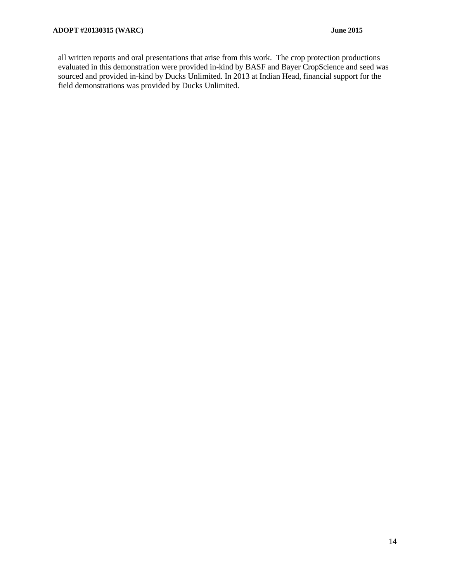all written reports and oral presentations that arise from this work. The crop protection productions evaluated in this demonstration were provided in-kind by BASF and Bayer CropScience and seed was sourced and provided in-kind by Ducks Unlimited. In 2013 at Indian Head, financial support for the field demonstrations was provided by Ducks Unlimited.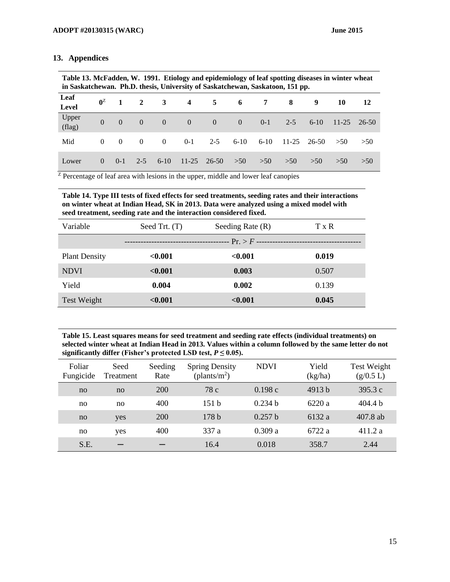## **13. Appendices**

| Table 13. McFadden, W. 1991. Etiology and epidemiology of leaf spotting diseases in winter wheat<br>in Saskatchewan. Ph.D. thesis, University of Saskatchewan, Saskatoon, 151 pp. |          |                |                         |                |               |                                             |                 |       |               |        |         |       |
|-----------------------------------------------------------------------------------------------------------------------------------------------------------------------------------|----------|----------------|-------------------------|----------------|---------------|---------------------------------------------|-----------------|-------|---------------|--------|---------|-------|
| Leaf<br>$L$ evel                                                                                                                                                                  |          |                |                         |                |               | $0^2$ 1 2 3 4 5 6 7 8                       |                 |       |               |        | 10      | 12    |
| Upper<br>(flag)                                                                                                                                                                   | $\Omega$ |                |                         |                |               | $0 \quad 0 \quad 0 \quad 0 \quad 0 \quad 0$ |                 | $0-1$ | $2 - 5$       | $6-10$ | $11-25$ | 26-50 |
| Mid                                                                                                                                                                               | $\Omega$ | $\overline{0}$ | $\overline{\mathbf{0}}$ | $\overline{0}$ | $0-1$         |                                             | $2-5$ 6-10 6-10 |       | $11-25$ 26-50 |        | > 50    | >50   |
| Lower                                                                                                                                                                             | $\theta$ | $() - 1$       | $2 - 5$                 | $6-10$         | $11-25$ 26-50 |                                             | >50             | >50   | >50           | >50    | > 50    | >50   |

 $Z$  Percentage of leaf area with lesions in the upper, middle and lower leaf canopies

**Table 14. Type III tests of fixed effects for seed treatments, seeding rates and their interactions on winter wheat at Indian Head, SK in 2013. Data were analyzed using a mixed model with seed treatment, seeding rate and the interaction considered fixed.**

| Variable             | Seed Trt. (T)                     | Seeding Rate (R) | $T \times R$ |
|----------------------|-----------------------------------|------------------|--------------|
|                      | --------------------------------- |                  |              |
| <b>Plant Density</b> | < 0.001                           | < 0.001          | 0.019        |
| <b>NDVI</b>          | < 0.001                           | 0.003            | 0.507        |
| Yield                | 0.004                             | 0.002            | 0.139        |
| Test Weight          | < 0.001                           | < 0.001          | 0.045        |

**Table 15. Least squares means for seed treatment and seeding rate effects (individual treatments) on selected winter wheat at Indian Head in 2013. Values within a column followed by the same letter do not**  significantly differ (Fisher's protected LSD test,  $P \le 0.05$ ).

| Foliar<br>Fungicide | Seed<br>Treatment | Seeding<br>Rate | <b>Spring Density</b><br>(plants/ $m^2$ ) | <b>NDVI</b>        | Yield<br>(kg/ha) | <b>Test Weight</b><br>(g/0.5 L) |
|---------------------|-------------------|-----------------|-------------------------------------------|--------------------|------------------|---------------------------------|
| no                  | no                | <b>200</b>      | 78 c                                      | 0.198c             | 4913h            | 395.3c                          |
| no                  | no                | 400             | 151h                                      | 0.234 b            | 6220 a           | 404.4 <sub>b</sub>              |
| no                  | yes               | 200             | 178h                                      | 0.257 <sub>b</sub> | 6132 a           | 407.8 ab                        |
| no                  | yes               | 400             | 337 a                                     | 0.309a             | 6722 a           | 411.2 a                         |
| S.E.                |                   |                 | 16.4                                      | 0.018              | 358.7            | 2.44                            |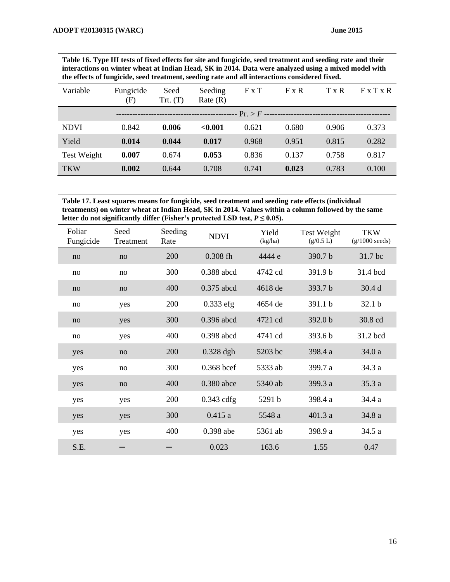**Table 16. Type III tests of fixed effects for site and fungicide, seed treatment and seeding rate and their interactions on winter wheat at Indian Head, SK in 2014. Data were analyzed using a mixed model with the effects of fungicide, seed treatment, seeding rate and all interactions considered fixed.**

| Variable           | Fungicide<br>(F) | Seed<br>$Trt.$ (T) | Seeding<br>Rate(R) | $F \times T$ | $F \times R$ | $T \times R$ | Fx T x R |
|--------------------|------------------|--------------------|--------------------|--------------|--------------|--------------|----------|
|                    |                  |                    |                    |              |              |              |          |
| <b>NDVI</b>        | 0.842            | 0.006              | < 0.001            | 0.621        | 0.680        | 0.906        | 0.373    |
| Yield              | 0.014            | 0.044              | 0.017              | 0.968        | 0.951        | 0.815        | 0.282    |
| <b>Test Weight</b> | 0.007            | 0.674              | 0.053              | 0.836        | 0.137        | 0.758        | 0.817    |
| <b>TKW</b>         | 0.002            | 0.644              | 0.708              | 0.741        | 0.023        | 0.783        | 0.100    |

**Table 17. Least squares means for fungicide, seed treatment and seeding rate effects (individual treatments) on winter wheat at Indian Head, SK in 2014. Values within a column followed by the same**  letter do not significantly differ (Fisher's protected LSD test,  $P \le 0.05$ ).

| Foliar<br>Fungicide | Seed<br>Treatment | Seeding<br>Rate | <b>NDVI</b>  | Yield<br>(kg/ha) | <b>Test Weight</b><br>(g/0.5 L) | <b>TKW</b><br>$(g/1000 \text{ seeds})$ |
|---------------------|-------------------|-----------------|--------------|------------------|---------------------------------|----------------------------------------|
| no                  | no                | 200             | $0.308$ fh   | 4444 e           | 390.7 b                         | 31.7 bc                                |
| no                  | no                | 300             | 0.388 abcd   | 4742 cd          | 391.9b                          | 31.4 bcd                               |
| no                  | no                | 400             | $0.375$ abcd | 4618 de          | 393.7 b                         | 30.4 d                                 |
| no                  | yes               | 200             | $0.333$ efg  | 4654 de          | 391.1 b                         | 32.1 <sub>b</sub>                      |
| no                  | yes               | 300             | 0.396 abcd   | 4721 cd          | 392.0 b                         | 30.8 cd                                |
| no                  | yes               | 400             | 0.398 abcd   | 4741 cd          | 393.6 b                         | 31.2 bcd                               |
| yes                 | no                | 200             | $0.328$ dgh  | 5203 bc          | 398.4 a                         | 34.0a                                  |
| yes                 | no                | 300             | 0.368 bcef   | 5333 ab          | 399.7 a                         | 34.3 a                                 |
| yes                 | no                | 400             | $0.380$ abce | 5340 ab          | 399.3 a                         | 35.3a                                  |
| yes                 | yes               | 200             | $0.343$ cdfg | 5291 b           | 398.4 a                         | 34.4 a                                 |
| yes                 | yes               | 300             | 0.415a       | 5548 a           | 401.3 a                         | 34.8 a                                 |
| yes                 | yes               | 400             | 0.398 abe    | 5361 ab          | 398.9 a                         | 34.5 a                                 |
| S.E.                |                   |                 | 0.023        | 163.6            | 1.55                            | 0.47                                   |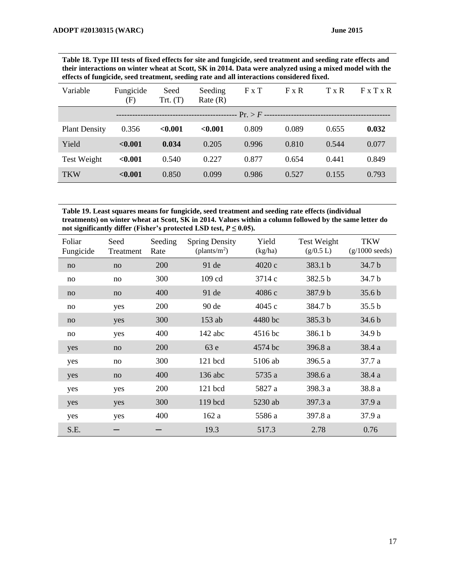**Table 18. Type III tests of fixed effects for site and fungicide, seed treatment and seeding rate effects and their interactions on winter wheat at Scott, SK in 2014. Data were analyzed using a mixed model with the effects of fungicide, seed treatment, seeding rate and all interactions considered fixed.**

| Variable             | Fungicide<br>(F) | Seed<br>$Trt.$ (T) | Seeding<br>Rate(R) | F X T | $F \times R$ | $T \times R$ | Fx T x R |
|----------------------|------------------|--------------------|--------------------|-------|--------------|--------------|----------|
|                      |                  |                    |                    |       |              |              |          |
| <b>Plant Density</b> | 0.356            | < 0.001            | < 0.001            | 0.809 | 0.089        | 0.655        | 0.032    |
| Yield                | < 0.001          | 0.034              | 0.205              | 0.996 | 0.810        | 0.544        | 0.077    |
| Test Weight          | < 0.001          | 0.540              | 0.227              | 0.877 | 0.654        | 0.441        | 0.849    |
| <b>TKW</b>           | < 0.001          | 0.850              | 0.099              | 0.986 | 0.527        | 0.155        | 0.793    |

**Table 19. Least squares means for fungicide, seed treatment and seeding rate effects (individual treatments) on winter wheat at Scott, SK in 2014. Values within a column followed by the same letter do**  not significantly differ (Fisher's protected LSD test,  $P \le 0.05$ ).

| Foliar<br>Fungicide | Seed<br>Treatment | Seeding<br>Rate | <b>Spring Density</b><br>(plants/ $m^2$ ) | Yield<br>(kg/ha) | <b>Test Weight</b><br>(g/0.5 L) | <b>TKW</b><br>$(g/1000 \text{ seeds})$ |
|---------------------|-------------------|-----------------|-------------------------------------------|------------------|---------------------------------|----------------------------------------|
| no                  | no                | 200             | 91 de                                     | 4020 c           | 383.1 b                         | 34.7 b                                 |
| no                  | no                | 300             | 109 cd                                    | 3714 c           | 382.5 b                         | 34.7 b                                 |
| no                  | no                | 400             | 91 de                                     | 4086 с           | 387.9 b                         | 35.6 <sub>b</sub>                      |
| no                  | yes               | 200             | 90 de                                     | 4045 с           | 384.7 b                         | 35.5 <sub>b</sub>                      |
| no                  | yes               | 300             | $153$ ab                                  | 4480 bc          | 385.3 b                         | 34.6 <sub>b</sub>                      |
| no                  | yes               | 400             | 142 abc                                   | 4516 bc          | 386.1 b                         | 34.9 b                                 |
| yes                 | no                | 200             | 63e                                       | 4574 bc          | 396.8 a                         | 38.4 a                                 |
| yes                 | no                | 300             | 121 bcd                                   | 5106 ab          | 396.5 a                         | 37.7 a                                 |
| yes                 | no                | 400             | $136$ abc                                 | 5735 a           | 398.6 a                         | 38.4 a                                 |
| yes                 | yes               | 200             | 121 bcd                                   | 5827 a           | 398.3 a                         | 38.8 a                                 |
| yes                 | yes               | 300             | 119 bcd                                   | 5230 ab          | 397.3 a                         | 37.9 a                                 |
| yes                 | yes               | 400             | 162 a                                     | 5586 a           | 397.8 a                         | 37.9 a                                 |
| S.E.                |                   |                 | 19.3                                      | 517.3            | 2.78                            | 0.76                                   |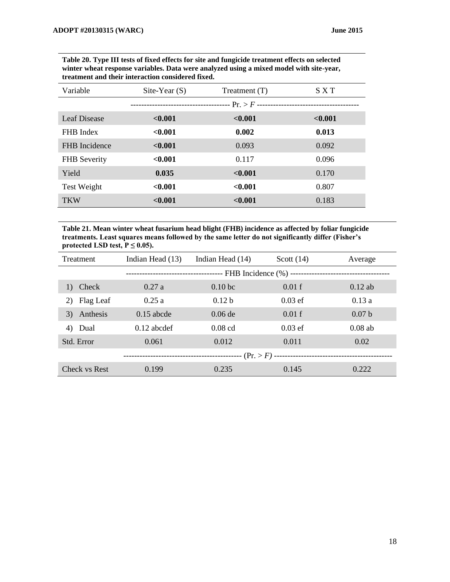| Table 20. Type III tests of fixed effects for site and fungicide treatment effects on selected |
|------------------------------------------------------------------------------------------------|
| winter wheat response variables. Data were analyzed using a mixed model with site-year,        |
| treatment and their interaction considered fixed.                                              |

| Variable            | Site-Year $(S)$                     | Treatment $(T)$ | SXT     |
|---------------------|-------------------------------------|-----------------|---------|
|                     | ----------------------------------- |                 |         |
| Leaf Disease        | < 0.001                             | < 0.001         | < 0.001 |
| FHB Index           | < 0.001                             | 0.002           | 0.013   |
| FHB Incidence       | < 0.001                             | 0.093           | 0.092   |
| <b>FHB</b> Severity | < 0.001                             | 0.117           | 0.096   |
| Yield               | 0.035                               | < 0.001         | 0.170   |
| Test Weight         | < 0.001                             | < 0.001         | 0.807   |
| <b>TKW</b>          | < 0.001                             | < 0.001         | 0.183   |

**Table 21. Mean winter wheat fusarium head blight (FHB) incidence as affected by foliar fungicide treatments. Least squares means followed by the same letter do not significantly differ (Fisher's**  protected LSD test,  $P \leq 0.05$ ).

| Treatment                 |           | Indian Head (13)               | Indian Head (14)                                     | Scott $(14)$ | Average           |
|---------------------------|-----------|--------------------------------|------------------------------------------------------|--------------|-------------------|
|                           |           | ------------------------------ | -- FHB Incidence (%) ------------------------------- |              |                   |
| Check<br>$\left  \right $ |           | 0.27a                          | 0.10 <sub>bc</sub>                                   | $0.01$ f     | $0.12$ ab         |
| 2)                        | Flag Leaf | 0.25a                          | 0.12 <sub>b</sub>                                    | $0.03$ ef    | 0.13a             |
| 3)                        | Anthesis  | $0.15$ abcde                   | $0.06$ de                                            | $0.01$ f     | 0.07 <sub>b</sub> |
| 4)<br>Dual                |           | $0.12$ abcdef                  | $0.08$ cd                                            | $0.03$ ef    | $0.08$ ab         |
| Std. Error                |           | 0.061                          | 0.012                                                | 0.011        | 0.02              |
|                           |           |                                |                                                      |              |                   |
| Check vs Rest             |           | 0.199                          | 0.235                                                | 0.145        | 0.222             |